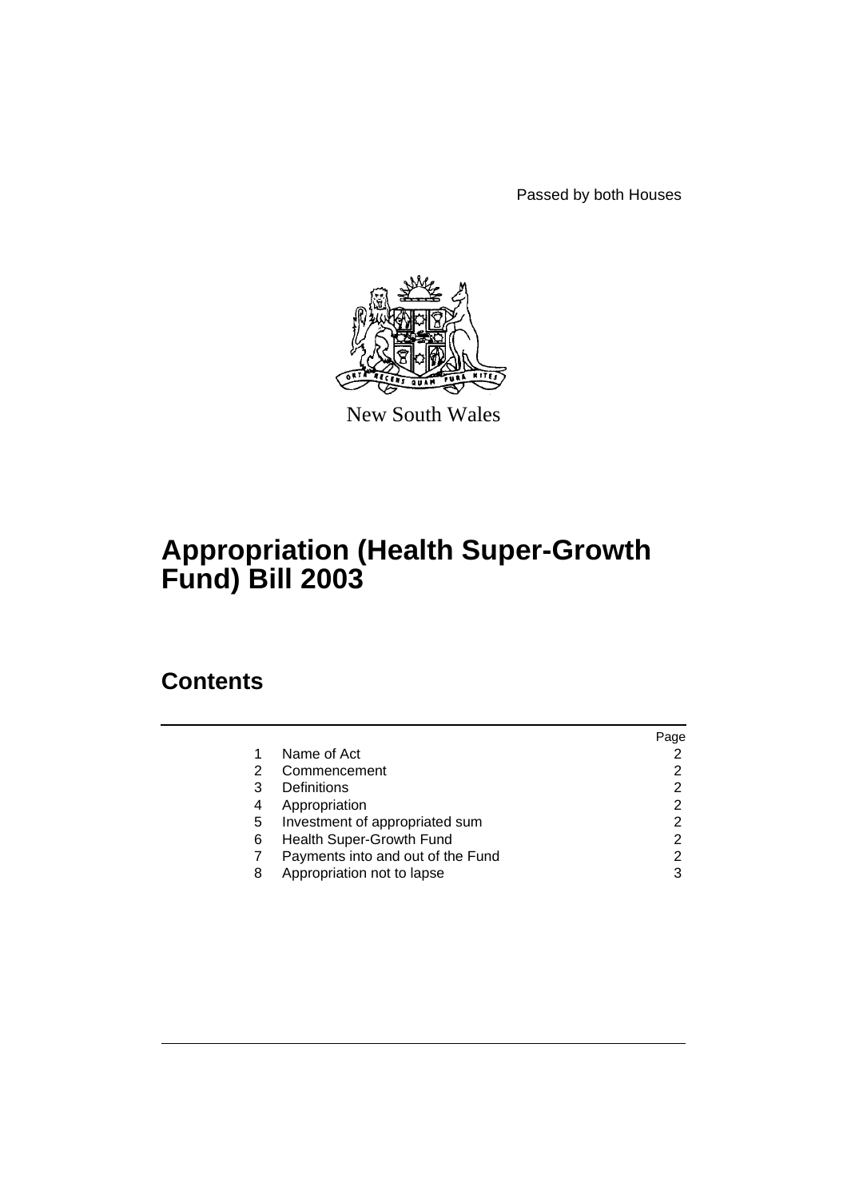Passed by both Houses



New South Wales

# **Appropriation (Health Super-Growth Fund) Bill 2003**

# **Contents**

|   |                                   | Page |
|---|-----------------------------------|------|
|   | Name of Act                       |      |
| 2 | Commencement                      |      |
| 3 | Definitions                       | 2    |
| 4 | Appropriation                     | 2    |
| 5 | Investment of appropriated sum    | 2    |
| 6 | Health Super-Growth Fund          | 2    |
|   | Payments into and out of the Fund | 2    |
| 8 | Appropriation not to lapse        | 3    |
|   |                                   |      |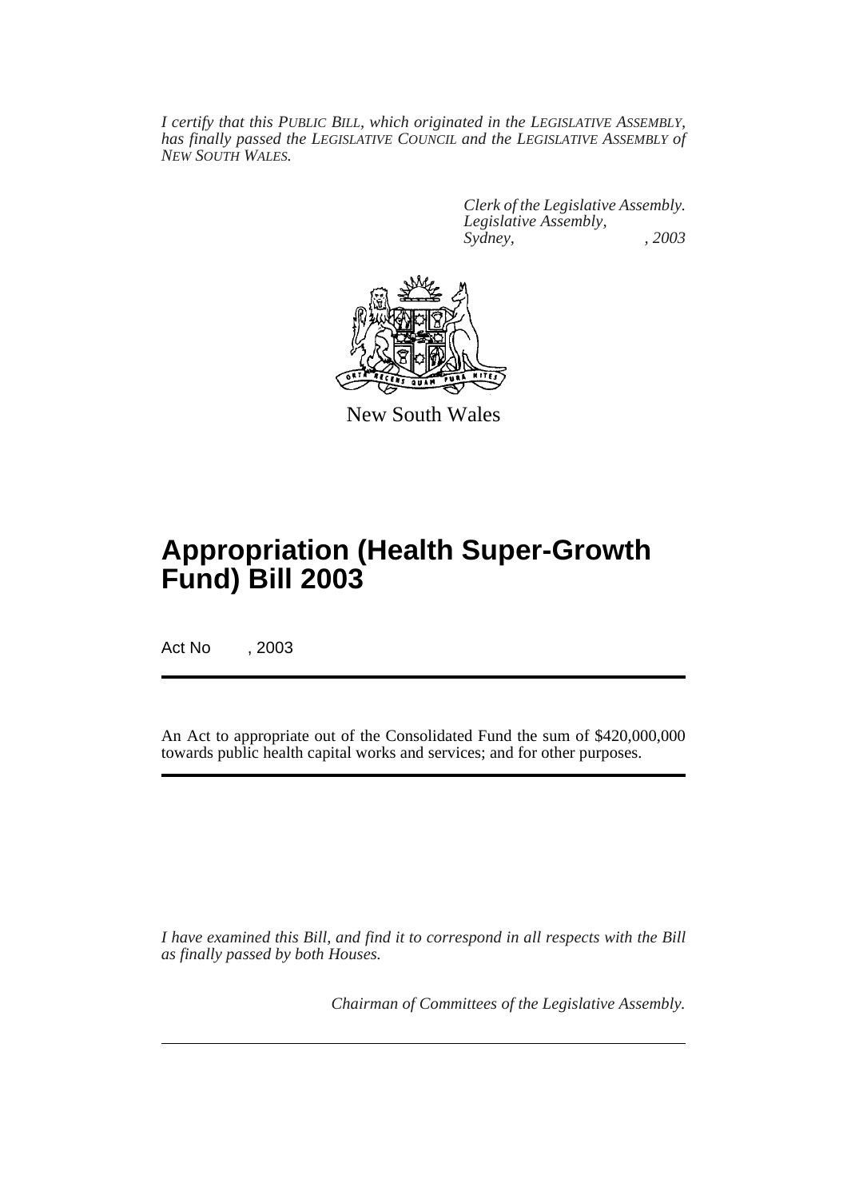*I certify that this PUBLIC BILL, which originated in the LEGISLATIVE ASSEMBLY, has finally passed the LEGISLATIVE COUNCIL and the LEGISLATIVE ASSEMBLY of NEW SOUTH WALES.*

> *Clerk of the Legislative Assembly. Legislative Assembly, Sydney, , 2003*



New South Wales

# **Appropriation (Health Super-Growth Fund) Bill 2003**

Act No , 2003

An Act to appropriate out of the Consolidated Fund the sum of \$420,000,000 towards public health capital works and services; and for other purposes.

*I have examined this Bill, and find it to correspond in all respects with the Bill as finally passed by both Houses.*

*Chairman of Committees of the Legislative Assembly.*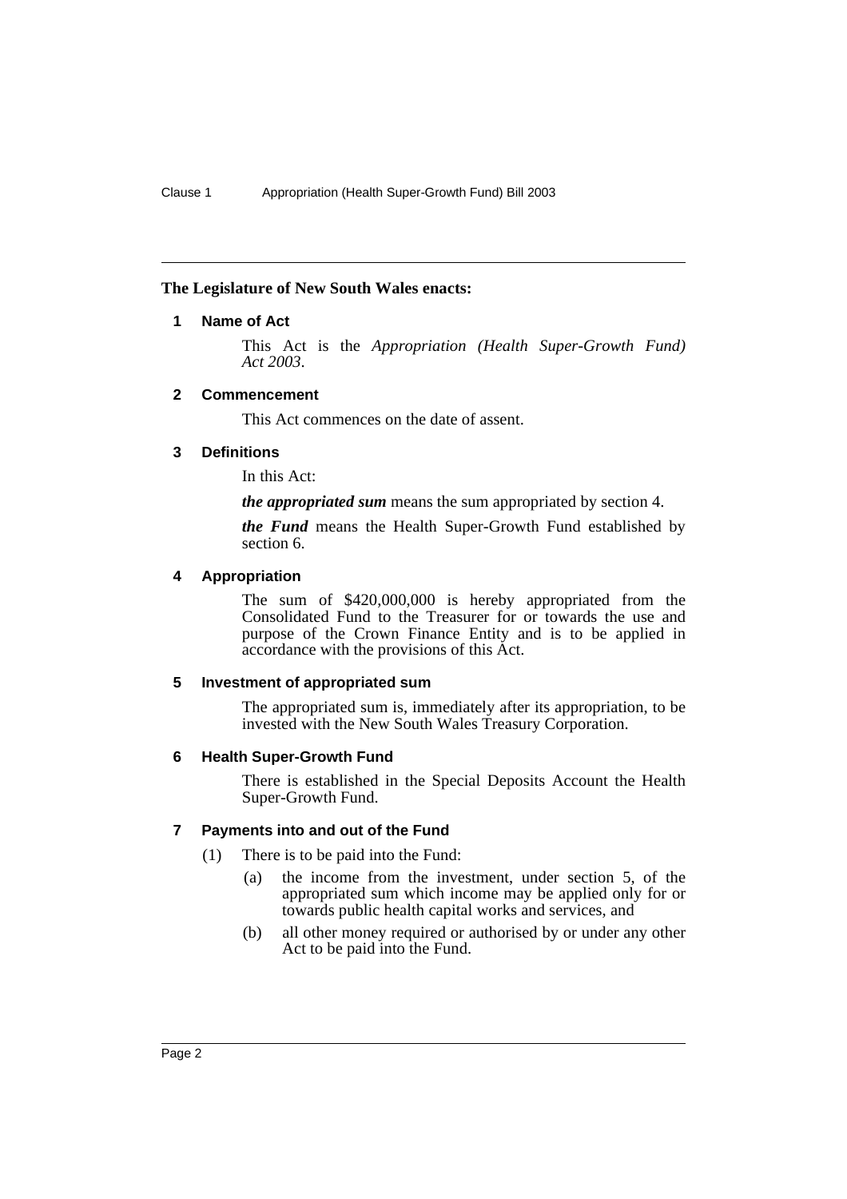#### **The Legislature of New South Wales enacts:**

## **1 Name of Act**

This Act is the *Appropriation (Health Super-Growth Fund) Act 2003*.

### **2 Commencement**

This Act commences on the date of assent.

### **3 Definitions**

In this Act:

*the appropriated sum* means the sum appropriated by section 4.

*the Fund* means the Health Super-Growth Fund established by section 6.

### **4 Appropriation**

The sum of \$420,000,000 is hereby appropriated from the Consolidated Fund to the Treasurer for or towards the use and purpose of the Crown Finance Entity and is to be applied in accordance with the provisions of this Act.

#### **5 Investment of appropriated sum**

The appropriated sum is, immediately after its appropriation, to be invested with the New South Wales Treasury Corporation.

#### **6 Health Super-Growth Fund**

There is established in the Special Deposits Account the Health Super-Growth Fund.

# **7 Payments into and out of the Fund**

- (1) There is to be paid into the Fund:
	- (a) the income from the investment, under section 5, of the appropriated sum which income may be applied only for or towards public health capital works and services, and
	- (b) all other money required or authorised by or under any other Act to be paid into the Fund.